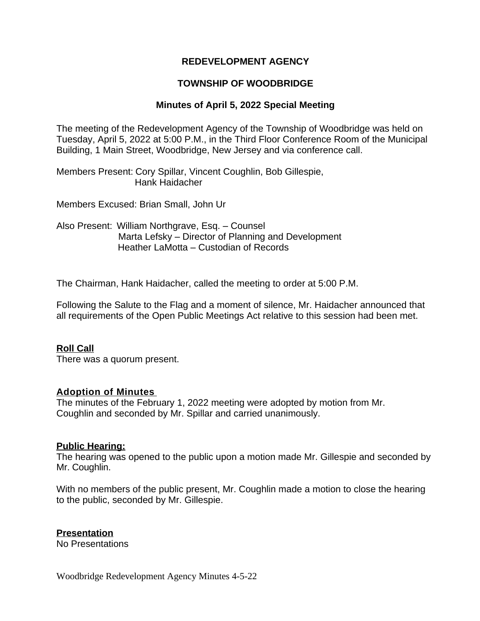### **REDEVELOPMENT AGENCY**

## **TOWNSHIP OF WOODBRIDGE**

#### **Minutes of April 5, 2022 Special Meeting**

The meeting of the Redevelopment Agency of the Township of Woodbridge was held on Tuesday, April 5, 2022 at 5:00 P.M., in the Third Floor Conference Room of the Municipal Building, 1 Main Street, Woodbridge, New Jersey and via conference call.

Members Present: Cory Spillar, Vincent Coughlin, Bob Gillespie, Hank Haidacher

Members Excused: Brian Small, John Ur

Also Present: William Northgrave, Esq. – Counsel Marta Lefsky – Director of Planning and Development Heather LaMotta – Custodian of Records

The Chairman, Hank Haidacher, called the meeting to order at 5:00 P.M.

Following the Salute to the Flag and a moment of silence, Mr. Haidacher announced that all requirements of the Open Public Meetings Act relative to this session had been met.

#### **Roll Call**

There was a quorum present.

#### **Adoption of Minutes**

The minutes of the February 1, 2022 meeting were adopted by motion from Mr. Coughlin and seconded by Mr. Spillar and carried unanimously.

#### **Public Hearing:**

The hearing was opened to the public upon a motion made Mr. Gillespie and seconded by Mr. Coughlin.

With no members of the public present, Mr. Coughlin made a motion to close the hearing to the public, seconded by Mr. Gillespie.

#### **Presentation**

No Presentations

Woodbridge Redevelopment Agency Minutes 4-5-22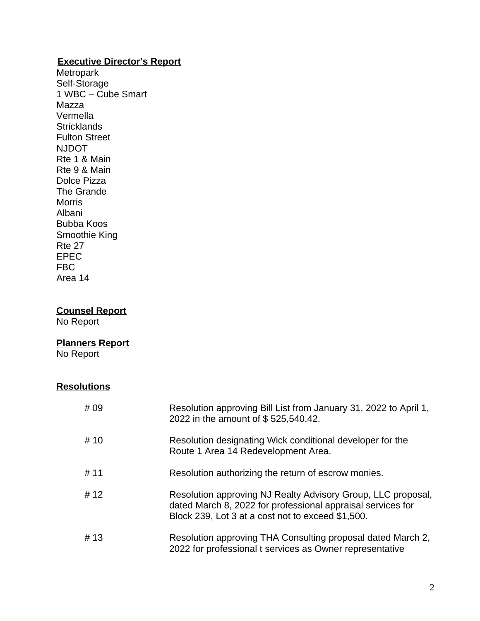## **Executive Director's Report**

Metropark Self-Storage 1 WBC – Cube Smart Mazza Vermella **Stricklands** Fulton Street NJDOT Rte 1 & Main Rte 9 & Main Dolce Pizza The Grande Morris Albani Bubba Koos Smoothie King Rte 27 EPEC FBC Area 14

# **Counsel Report**

No Report

## **Planners Report**

No Report

## **Resolutions**

| # 09 | Resolution approving Bill List from January 31, 2022 to April 1,<br>2022 in the amount of \$525,540.42.                                                                          |
|------|----------------------------------------------------------------------------------------------------------------------------------------------------------------------------------|
| # 10 | Resolution designating Wick conditional developer for the<br>Route 1 Area 14 Redevelopment Area.                                                                                 |
| # 11 | Resolution authorizing the return of escrow monies.                                                                                                                              |
| # 12 | Resolution approving NJ Realty Advisory Group, LLC proposal,<br>dated March 8, 2022 for professional appraisal services for<br>Block 239, Lot 3 at a cost not to exceed \$1,500. |
| #13  | Resolution approving THA Consulting proposal dated March 2,<br>2022 for professional t services as Owner representative                                                          |